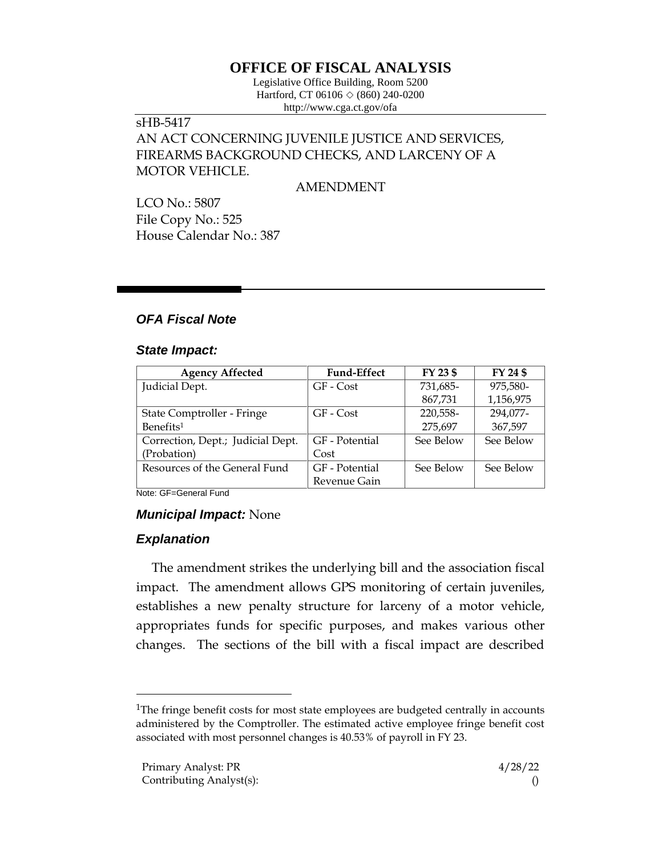# **OFFICE OF FISCAL ANALYSIS**

Legislative Office Building, Room 5200 Hartford, CT 06106  $\Diamond$  (860) 240-0200 http://www.cga.ct.gov/ofa

### sHB-5417 AN ACT CONCERNING JUVENILE JUSTICE AND SERVICES, FIREARMS BACKGROUND CHECKS, AND LARCENY OF A

MOTOR VEHICLE.

AMENDMENT

LCO No.: 5807 File Copy No.: 525 House Calendar No.: 387

# *OFA Fiscal Note*

#### *State Impact:*

| <b>Agency Affected</b>            | <b>Fund-Effect</b> | FY 23 \$  | FY 24 \$  |
|-----------------------------------|--------------------|-----------|-----------|
| Judicial Dept.                    | GF - Cost          | 731,685-  | 975,580-  |
|                                   |                    | 867,731   | 1,156,975 |
| State Comptroller - Fringe        | GF - Cost          | 220,558-  | 294,077-  |
| Benefits <sup>1</sup>             |                    | 275,697   | 367,597   |
| Correction, Dept.; Judicial Dept. | GF - Potential     | See Below | See Below |
| (Probation)                       | Cost               |           |           |
| Resources of the General Fund     | GF - Potential     | See Below | See Below |
|                                   | Revenue Gain       |           |           |

Note: GF=General Fund

# *Municipal Impact:* None

# *Explanation*

The amendment strikes the underlying bill and the association fiscal impact. The amendment allows GPS monitoring of certain juveniles, establishes a new penalty structure for larceny of a motor vehicle, appropriates funds for specific purposes, and makes various other changes. The sections of the bill with a fiscal impact are described

<sup>&</sup>lt;sup>1</sup>The fringe benefit costs for most state employees are budgeted centrally in accounts administered by the Comptroller. The estimated active employee fringe benefit cost associated with most personnel changes is 40.53% of payroll in FY 23.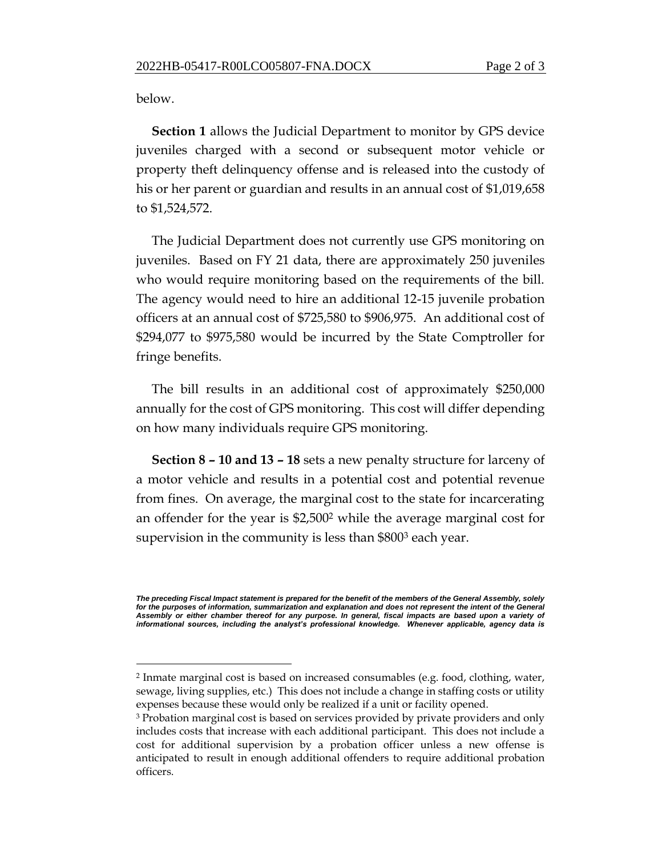below.

**Section 1** allows the Judicial Department to monitor by GPS device juveniles charged with a second or subsequent motor vehicle or property theft delinquency offense and is released into the custody of his or her parent or guardian and results in an annual cost of \$1,019,658 to \$1,524,572.

The Judicial Department does not currently use GPS monitoring on juveniles. Based on FY 21 data, there are approximately 250 juveniles who would require monitoring based on the requirements of the bill. The agency would need to hire an additional 12-15 juvenile probation officers at an annual cost of \$725,580 to \$906,975. An additional cost of \$294,077 to \$975,580 would be incurred by the State Comptroller for fringe benefits.

The bill results in an additional cost of approximately \$250,000 annually for the cost of GPS monitoring. This cost will differ depending on how many individuals require GPS monitoring.

**Section 8 – 10 and 13 – 18** sets a new penalty structure for larceny of a motor vehicle and results in a potential cost and potential revenue from fines. On average, the marginal cost to the state for incarcerating an offender for the year is \$2,500<sup>2</sup> while the average marginal cost for supervision in the community is less than \$800<sup>3</sup> each year.

*The preceding Fiscal Impact statement is prepared for the benefit of the members of the General Assembly, solely*  for the purposes of information, summarization and explanation and does not represent the intent of the General *Assembly or either chamber thereof for any purpose. In general, fiscal impacts are based upon a variety of informational sources, including the analyst's professional knowledge. Whenever applicable, agency data is*

<sup>2</sup> Inmate marginal cost is based on increased consumables (e.g. food, clothing, water, sewage, living supplies, etc.) This does not include a change in staffing costs or utility expenses because these would only be realized if a unit or facility opened.

<sup>3</sup> Probation marginal cost is based on services provided by private providers and only includes costs that increase with each additional participant. This does not include a cost for additional supervision by a probation officer unless a new offense is anticipated to result in enough additional offenders to require additional probation officers.